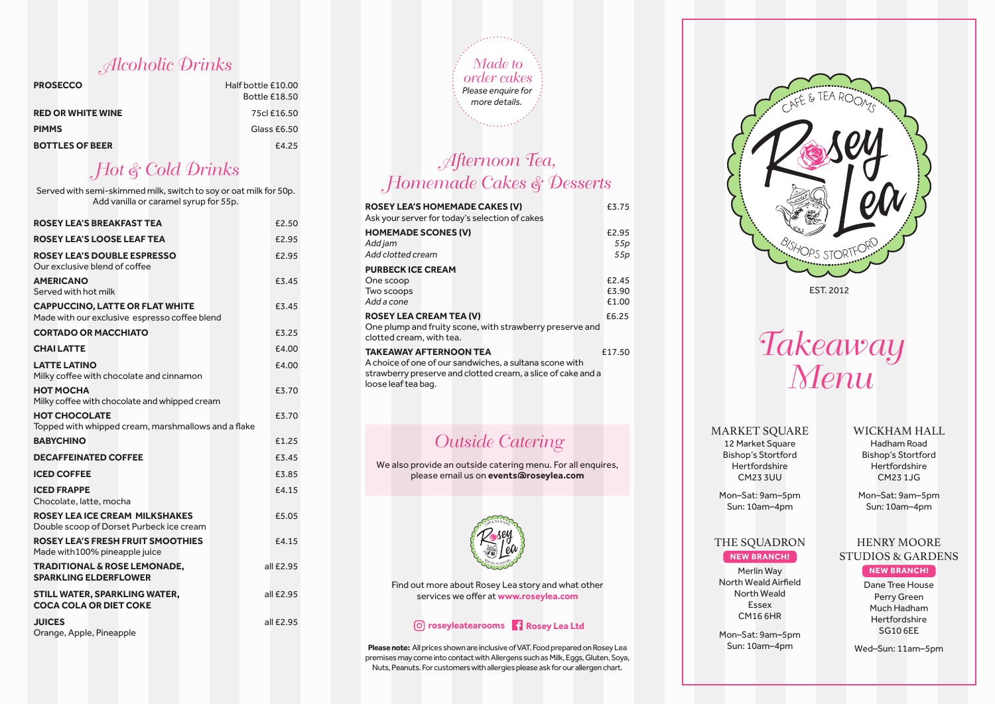Alcoholic Drinks

| <b>PROSECCO</b>          | Half bottle £10.00   |
|--------------------------|----------------------|
|                          | <b>Bottle £18.50</b> |
| <b>RED OR WHITE WINE</b> | 75cl £16.50          |
| <b>PIMMS</b>             | Glass £6.50          |
| <b>BOTTLES OF BEER</b>   | £4.25                |

# Hot & Cold Drinks

Served with semi-skimmed milk, switch to soy or oat milk for 50p. Add vanilla or caramel syrup for 55p.

| <b>ROSEY LEA'S BREAKFAST TEA</b>                                                        | £2.50     |
|-----------------------------------------------------------------------------------------|-----------|
| <b>ROSEY LEA'S LOOSE LEAF TEA</b>                                                       | £2.95     |
| <b>ROSEY LEA'S DOUBLE ESPRESSO</b><br>Our exclusive blend of coffee                     | £2.95     |
| <b>AMERICANO</b><br>Served with hot milk                                                | £3.45     |
| <b>CAPPUCCINO, LATTE OR FLAT WHITE</b><br>Made with our exclusive espresso coffee blend | £3.45     |
| <b>CORTADO OR MACCHIATO</b>                                                             | £3.25     |
| <b>CHAILATTE</b>                                                                        | £4.00     |
| <b>LATTE LATINO</b><br>Milky coffee with chocolate and cinnamon                         | £4.00     |
| НОТ МОСНА<br>Milky coffee with chocolate and whipped cream                              | £3.70     |
| <b>HOT CHOCOLATE</b><br>Topped with whipped cream, marshmallows and a flake             | £3.70     |
| <b>BABYCHINO</b>                                                                        | £1.25     |
| <b>DECAFFEINATED COFFEE</b>                                                             | £3.45     |
| <b>ICED COFFEE</b>                                                                      | £3.85     |
| <b>ICED FRAPPE</b><br>Chocolate, latte, mocha                                           | £4.15     |
| <b>ROSEY LEA ICE CREAM MILKSHAKES</b><br>Double scoop of Dorset Purbeck ice cream       | £5.05     |
| <b>ROSEY LEA'S FRESH FRUIT SMOOTHIES</b><br>Made with 100% pineapple juice              | £4.15     |
| <b>TRADITIONAL &amp; ROSE LEMONADE.</b><br><b>SPARKLING ELDERFLOWER</b>                 | all £2.95 |
| STILL WATER, SPARKLING WATER,<br><b>COCA COLA OR DIET COKE</b>                          | all £2.95 |
| <b>JUICES</b><br>Orange, Apple, Pineapple                                               | all £2.95 |



## Afternoon Tea, Homemade Cakes & Desserts

| <b>ROSEY LEA'S HOMEMADE CAKES (V)</b><br>Ask your server for today's selection of cakes                                                                                                   | £3.75                   |  |  |  |
|-------------------------------------------------------------------------------------------------------------------------------------------------------------------------------------------|-------------------------|--|--|--|
| <b>HOMEMADE SCONES (V)</b><br>Add jam<br>Add clotted cream                                                                                                                                | £2.95<br>55p<br>55p     |  |  |  |
| <b>PURBECK ICE CREAM</b><br>One scoop<br>Two scoops<br>Add a cone                                                                                                                         | £2.45<br>£3.90<br>£1.00 |  |  |  |
| <b>ROSEY LEA CREAM TEA (V)</b><br>One plump and fruity scone, with strawberry preserve and<br>clotted cream, with tea.                                                                    | £6.25                   |  |  |  |
| <b>TAKEAWAY AFTERNOON TEA</b><br>£17.50<br>A choice of one of our sandwiches, a sultana scone with<br>strawberry preserve and clotted cream, a slice of cake and a<br>loose leaf tea bag. |                         |  |  |  |

## Outside Catering

We also provide an outside catering menu. For all enquires, please email us on **events@roseylea.com**



Find out more about Rosey Lea story and what other services we offer at **www.roseylea.com**

### **roseyleatearooms Rosey Lea Ltd**

**Please note:** All prices shown are inclusive of VAT. Food prepared on Rosey Lea premises may come into contact with Allergens such as Milk, Eggs, Gluten, Soya, Nuts, Peanuts. For customers with allergies please ask for our allergen chart.



Takeaway Menu

### **MARKET SOUARE**

12 Market Square Bishop's Stortford Hertfordshire CM23 3UU

### WICKHAM HALL

Hadham Road Bishop's Stortford **Hertfordshire** CM23 1JG

Mon–Sat: 9am–5pm Sun: 10am–4pm

Mon–Sat: 9am–5pm Sun: 10am–4pm

### THE SQUADRON **NEW BRANCH!**

Merlin Way North Weald Airfield North Weald Essex CM16 6HR Mon–Sat: 9am–5pm Sun: 10am–4pm

### STUDIOS & GARDENS

**NEW BRANCH!**

HENRY MOORE

Dane Tree House Perry Green Much Hadham Hertfordshire SG10 6EE

Wed–Sun: 11am–5pm